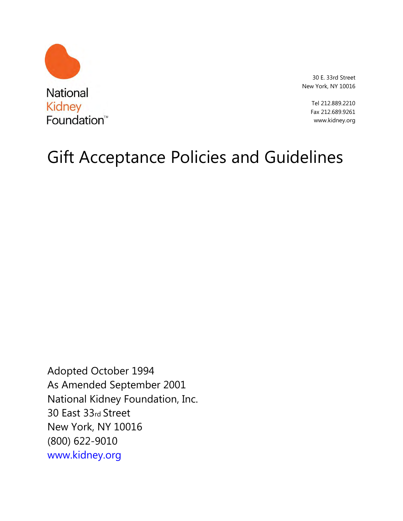

30 E. 33rd Street New York, NY 10016

> Tel 212.889.2210 Fax 212.689.9261 www.kidney.org

# Gift Acceptance Policies and Guidelines

Adopted October 1994 As Amended September 2001 National Kidney Foundation, Inc. 30 East 33rd Street New York, NY 10016 (800) 622-9010 www.kidney.org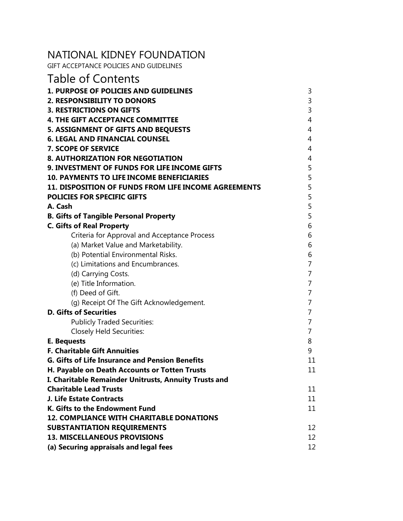## NATIONAL KIDNEY FOUNDATION

GIFT ACCEPTANCE POLICIES AND GUIDELINES

| <b>Table of Contents</b>                                                               |                |
|----------------------------------------------------------------------------------------|----------------|
| <b>1. PURPOSE OF POLICIES AND GUIDELINES</b>                                           | 3              |
| 2. RESPONSIBILITY TO DONORS                                                            | 3              |
| <b>3. RESTRICTIONS ON GIFTS</b>                                                        | 3              |
| <b>4. THE GIFT ACCEPTANCE COMMITTEE</b>                                                | 4              |
| 5. ASSIGNMENT OF GIFTS AND BEQUESTS                                                    | $\overline{4}$ |
| <b>6. LEGAL AND FINANCIAL COUNSEL</b>                                                  | 4              |
| 7. SCOPE OF SERVICE                                                                    | $\overline{4}$ |
| <b>8. AUTHORIZATION FOR NEGOTIATION</b>                                                | 4              |
| 9. INVESTMENT OF FUNDS FOR LIFE INCOME GIFTS                                           | 5              |
| <b>10. PAYMENTS TO LIFE INCOME BENEFICIARIES</b>                                       | 5              |
| 11. DISPOSITION OF FUNDS FROM LIFE INCOME AGREEMENTS                                   | 5              |
| <b>POLICIES FOR SPECIFIC GIFTS</b>                                                     | 5              |
| A. Cash                                                                                | 5              |
| <b>B. Gifts of Tangible Personal Property</b>                                          | 5              |
| <b>C. Gifts of Real Property</b>                                                       | 6              |
| Criteria for Approval and Acceptance Process                                           | 6              |
| (a) Market Value and Marketability.                                                    | 6              |
| (b) Potential Environmental Risks.                                                     | 6              |
| (c) Limitations and Encumbrances.                                                      | 7              |
| (d) Carrying Costs.                                                                    | 7              |
| (e) Title Information.                                                                 | 7              |
| (f) Deed of Gift.                                                                      | $\overline{7}$ |
| (g) Receipt Of The Gift Acknowledgement.                                               | $\overline{7}$ |
| <b>D. Gifts of Securities</b>                                                          | 7              |
| <b>Publicly Traded Securities:</b>                                                     | $\overline{7}$ |
| <b>Closely Held Securities:</b>                                                        | $\overline{7}$ |
| E. Bequests                                                                            | 8              |
| <b>F. Charitable Gift Annuities</b>                                                    | 9              |
| <b>G. Gifts of Life Insurance and Pension Benefits</b>                                 | 11             |
| H. Payable on Death Accounts or Totten Trusts                                          | 11             |
| I. Charitable Remainder Unitrusts, Annuity Trusts and<br><b>Charitable Lead Trusts</b> | 11             |
| J. Life Estate Contracts                                                               | 11             |
| K. Gifts to the Endowment Fund                                                         | 11             |
| <b>12. COMPLIANCE WITH CHARITABLE DONATIONS</b>                                        |                |
| <b>SUBSTANTIATION REQUIREMENTS</b>                                                     | 12             |
| <b>13. MISCELLANEOUS PROVISIONS</b>                                                    | 12             |
| (a) Securing appraisals and legal fees                                                 | 12             |
|                                                                                        |                |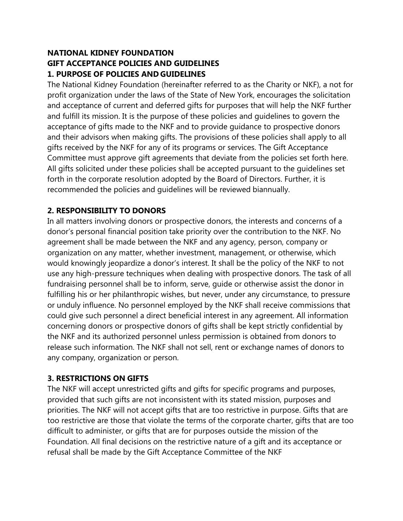## **NATIONAL KIDNEY FOUNDATION GIFT ACCEPTANCE POLICIES AND GUIDELINES 1. PURPOSE OF POLICIES AND GUIDELINES**

The National Kidney Foundation (hereinafter referred to as the Charity or NKF), a not for profit organization under the laws of the State of New York, encourages the solicitation and acceptance of current and deferred gifts for purposes that will help the NKF further and fulfill its mission. It is the purpose of these policies and guidelines to govern the acceptance of gifts made to the NKF and to provide guidance to prospective donors and their advisors when making gifts. The provisions of these policies shall apply to all gifts received by the NKF for any of its programs or services. The Gift Acceptance Committee must approve gift agreements that deviate from the policies set forth here. All gifts solicited under these policies shall be accepted pursuant to the guidelines set forth in the corporate resolution adopted by the Board of Directors. Further, it is recommended the policies and guidelines will be reviewed biannually.

## **2. RESPONSIBILITY TO DONORS**

In all matters involving donors or prospective donors, the interests and concerns of a donor's personal financial position take priority over the contribution to the NKF. No agreement shall be made between the NKF and any agency, person, company or organization on any matter, whether investment, management, or otherwise, which would knowingly jeopardize a donor's interest. It shall be the policy of the NKF to not use any high-pressure techniques when dealing with prospective donors. The task of all fundraising personnel shall be to inform, serve, guide or otherwise assist the donor in fulfilling his or her philanthropic wishes, but never, under any circumstance, to pressure or unduly influence. No personnel employed by the NKF shall receive commissions that could give such personnel a direct beneficial interest in any agreement. All information concerning donors or prospective donors of gifts shall be kept strictly confidential by the NKF and its authorized personnel unless permission is obtained from donors to release such information. The NKF shall not sell, rent or exchange names of donors to any company, organization or person.

#### **3. RESTRICTIONS ON GIFTS**

The NKF will accept unrestricted gifts and gifts for specific programs and purposes, provided that such gifts are not inconsistent with its stated mission, purposes and priorities. The NKF will not accept gifts that are too restrictive in purpose. Gifts that are too restrictive are those that violate the terms of the corporate charter, gifts that are too difficult to administer, or gifts that are for purposes outside the mission of the Foundation. All final decisions on the restrictive nature of a gift and its acceptance or refusal shall be made by the Gift Acceptance Committee of the NKF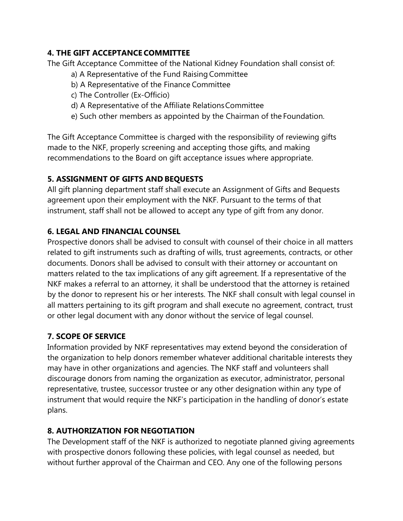## **4. THE GIFT ACCEPTANCE COMMITTEE**

The Gift Acceptance Committee of the National Kidney Foundation shall consist of:

- a) A Representative of the Fund Raising Committee
- b) A Representative of the Finance Committee
- c) The Controller (Ex-Officio)
- d) A Representative of the Affiliate Relations Committee
- e) Such other members as appointed by the Chairman of the Foundation.

The Gift Acceptance Committee is charged with the responsibility of reviewing gifts made to the NKF, properly screening and accepting those gifts, and making recommendations to the Board on gift acceptance issues where appropriate.

## **5. ASSIGNMENT OF GIFTS AND BEQUESTS**

All gift planning department staff shall execute an Assignment of Gifts and Bequests agreement upon their employment with the NKF. Pursuant to the terms of that instrument, staff shall not be allowed to accept any type of gift from any donor.

## **6. LEGAL AND FINANCIAL COUNSEL**

Prospective donors shall be advised to consult with counsel of their choice in all matters related to gift instruments such as drafting of wills, trust agreements, contracts, or other documents. Donors shall be advised to consult with their attorney or accountant on matters related to the tax implications of any gift agreement. If a representative of the NKF makes a referral to an attorney, it shall be understood that the attorney is retained by the donor to represent his or her interests. The NKF shall consult with legal counsel in all matters pertaining to its gift program and shall execute no agreement, contract, trust or other legal document with any donor without the service of legal counsel.

## **7. SCOPE OF SERVICE**

Information provided by NKF representatives may extend beyond the consideration of the organization to help donors remember whatever additional charitable interests they may have in other organizations and agencies. The NKF staff and volunteers shall discourage donors from naming the organization as executor, administrator, personal representative, trustee, successor trustee or any other designation within any type of instrument that would require the NKF's participation in the handling of donor's estate plans.

## **8. AUTHORIZATION FOR NEGOTIATION**

The Development staff of the NKF is authorized to negotiate planned giving agreements with prospective donors following these policies, with legal counsel as needed, but without further approval of the Chairman and CEO. Any one of the following persons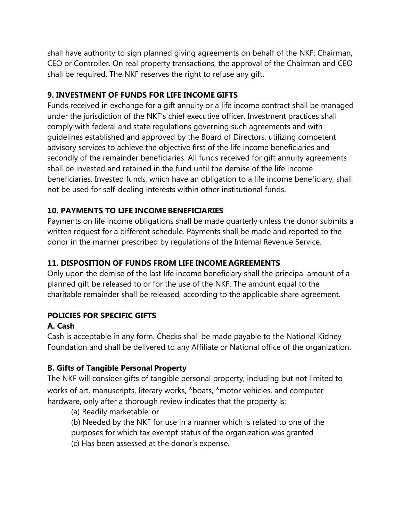shall have authority to sign planned giving agreements on behalf of the NKF: Chairman, CEO or Controller. On real property transactions, the approval of the Chairman and CEO shall be required. The NKF reserves the right to refuse any gift.

## **9. INVESTMENT OF FUNDS FOR LIFE INCOME GIFTS**

Funds received in exchange for a gift annuity or a life income contract shall be managed under the jurisdiction of the NKF's chief executive officer. Investment practices shall comply with federal and state regulations governing such agreements and with guidelines established and approved by the Board of Directors, utilizing competent advisory services to achieve the objective first of the life income beneficiaries and secondly of the remainder beneficiaries. All funds received for gift annuity agreements shall be invested and retained in the fund until the demise of the life income beneficiaries. Invested funds, which have an obligation to a life income beneficiary, shall not be used for self-dealing interests within other institutional funds.

## **10. PAYMENTS TO LIFE INCOME BENEFICIARIES**

Payments on life income obligations shall be made quarterly unless the donor submits a written request for a different schedule. Payments shall be made and reported to the donor in the manner prescribed by regulations of the Internal Revenue Service.

## **11. DISPOSITION OF FUNDS FROM LIFE INCOME AGREEMENTS**

Only upon the demise of the last life income beneficiary shall the principal amount of a planned gift be released to or for the use of the NKF. The amount equal to the charitable remainder shall be released, according to the applicable share agreement.

## **POLICIES FOR SPECIFIC GIFTS**

## **A. Cash**

Cash is acceptable in any form. Checks shall be made payable to the National Kidney Foundation and shall be delivered to any Affiliate or National office of the organization.

## **B. Gifts of Tangible Personal Property**

The NKF will consider gifts of tangible personal property, including but not limited to works of art, manuscripts, literary works, \*boats, \*motor vehicles, and computer hardware, only after a thorough review indicates that the property is:

(a) Readily marketable: or

- (b) Needed by the NKF for use in a manner which is related to one of the
- purposes for which tax exempt status of the organization was granted
- (c) Has been assessed at the donor's expense.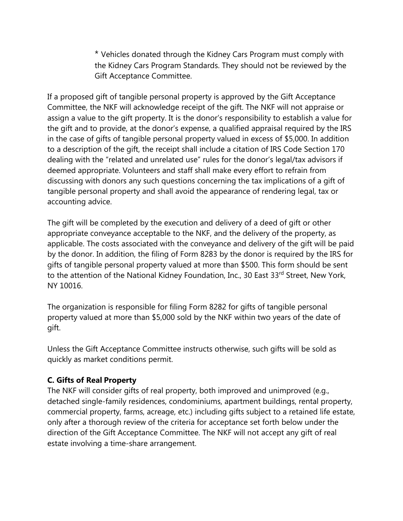\* Vehicles donated through the Kidney Cars Program must comply with the Kidney Cars Program Standards. They should not be reviewed by the Gift Acceptance Committee.

If a proposed gift of tangible personal property is approved by the Gift Acceptance Committee, the NKF will acknowledge receipt of the gift. The NKF will not appraise or assign a value to the gift property. It is the donor's responsibility to establish a value for the gift and to provide, at the donor's expense, a qualified appraisal required by the IRS in the case of gifts of tangible personal property valued in excess of \$5,000. In addition to a description of the gift, the receipt shall include a citation of IRS Code Section 170 dealing with the "related and unrelated use" rules for the donor's legal/tax advisors if deemed appropriate. Volunteers and staff shall make every effort to refrain from discussing with donors any such questions concerning the tax implications of a gift of tangible personal property and shall avoid the appearance of rendering legal, tax or accounting advice.

The gift will be completed by the execution and delivery of a deed of gift or other appropriate conveyance acceptable to the NKF, and the delivery of the property, as applicable. The costs associated with the conveyance and delivery of the gift will be paid by the donor. In addition, the filing of Form 8283 by the donor is required by the IRS for gifts of tangible personal property valued at more than \$500. This form should be sent to the attention of the National Kidney Foundation, Inc., 30 East 33rd Street, New York, NY 10016.

The organization is responsible for filing Form 8282 for gifts of tangible personal property valued at more than \$5,000 sold by the NKF within two years of the date of gift.

Unless the Gift Acceptance Committee instructs otherwise, such gifts will be sold as quickly as market conditions permit.

## **C. Gifts of Real Property**

The NKF will consider gifts of real property, both improved and unimproved (e.g., detached single-family residences, condominiums, apartment buildings, rental property, commercial property, farms, acreage, etc.) including gifts subject to a retained life estate, only after a thorough review of the criteria for acceptance set forth below under the direction of the Gift Acceptance Committee. The NKF will not accept any gift of real estate involving a time-share arrangement.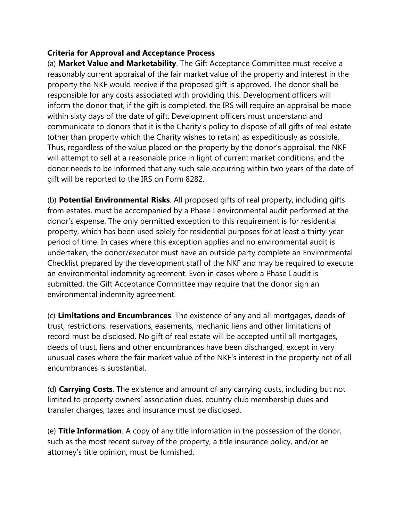## **Criteria for Approval and Acceptance Process**

(a) **Market Value and Marketability**. The Gift Acceptance Committee must receive a reasonably current appraisal of the fair market value of the property and interest in the property the NKF would receive if the proposed gift is approved. The donor shall be responsible for any costs associated with providing this. Development officers will inform the donor that, if the gift is completed, the IRS will require an appraisal be made within sixty days of the date of gift. Development officers must understand and communicate to donors that it is the Charity's policy to dispose of all gifts of real estate (other than property which the Charity wishes to retain) as expeditiously as possible. Thus, regardless of the value placed on the property by the donor's appraisal, the NKF will attempt to sell at a reasonable price in light of current market conditions, and the donor needs to be informed that any such sale occurring within two years of the date of gift will be reported to the IRS on Form 8282.

(b) **Potential Environmental Risks**. All proposed gifts of real property, including gifts from estates, must be accompanied by a Phase I environmental audit performed at the donor's expense. The only permitted exception to this requirement is for residential property, which has been used solely for residential purposes for at least a thirty-year period of time. In cases where this exception applies and no environmental audit is undertaken, the donor/executor must have an outside party complete an Environmental Checklist prepared by the development staff of the NKF and may be required to execute an environmental indemnity agreement. Even in cases where a Phase I audit is submitted, the Gift Acceptance Committee may require that the donor sign an environmental indemnity agreement.

(c) **Limitations and Encumbrances**. The existence of any and all mortgages, deeds of trust, restrictions, reservations, easements, mechanic liens and other limitations of record must be disclosed. No gift of real estate will be accepted until all mortgages, deeds of trust, liens and other encumbrances have been discharged, except in very unusual cases where the fair market value of the NKF's interest in the property net of all encumbrances is substantial.

(d) **Carrying Costs**. The existence and amount of any carrying costs, including but not limited to property owners' association dues, country club membership dues and transfer charges, taxes and insurance must be disclosed.

(e) **Title Information**. A copy of any title information in the possession of the donor, such as the most recent survey of the property, a title insurance policy, and/or an attorney's title opinion, must be furnished.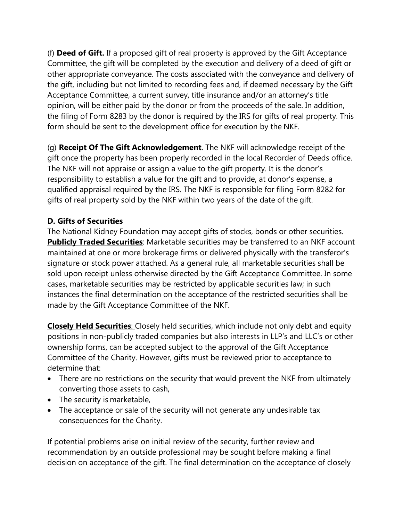(f) **Deed of Gift.** If a proposed gift of real property is approved by the Gift Acceptance Committee, the gift will be completed by the execution and delivery of a deed of gift or other appropriate conveyance. The costs associated with the conveyance and delivery of the gift, including but not limited to recording fees and, if deemed necessary by the Gift Acceptance Committee, a current survey, title insurance and/or an attorney's title opinion, will be either paid by the donor or from the proceeds of the sale. In addition, the filing of Form 8283 by the donor is required by the IRS for gifts of real property. This form should be sent to the development office for execution by the NKF.

(g) **Receipt Of The Gift Acknowledgement**. The NKF will acknowledge receipt of the gift once the property has been properly recorded in the local Recorder of Deeds office. The NKF will not appraise or assign a value to the gift property. It is the donor's responsibility to establish a value for the gift and to provide, at donor's expense, a qualified appraisal required by the IRS. The NKF is responsible for filing Form 8282 for gifts of real property sold by the NKF within two years of the date of the gift.

## **D. Gifts of Securities**

The National Kidney Foundation may accept gifts of stocks, bonds or other securities. **Publicly Traded Securities**: Marketable securities may be transferred to an NKF account maintained at one or more brokerage firms or delivered physically with the transferor's signature or stock power attached. As a general rule, all marketable securities shall be sold upon receipt unless otherwise directed by the Gift Acceptance Committee. In some cases, marketable securities may be restricted by applicable securities law; in such instances the final determination on the acceptance of the restricted securities shall be made by the Gift Acceptance Committee of the NKF.

**Closely Held Securities**: Closely held securities, which include not only debt and equity positions in non-publicly traded companies but also interests in LLP's and LLC's or other ownership forms, can be accepted subject to the approval of the Gift Acceptance Committee of the Charity. However, gifts must be reviewed prior to acceptance to determine that:

- There are no restrictions on the security that would prevent the NKF from ultimately converting those assets to cash,
- The security is marketable,
- The acceptance or sale of the security will not generate any undesirable tax consequences for the Charity.

If potential problems arise on initial review of the security, further review and recommendation by an outside professional may be sought before making a final decision on acceptance of the gift. The final determination on the acceptance of closely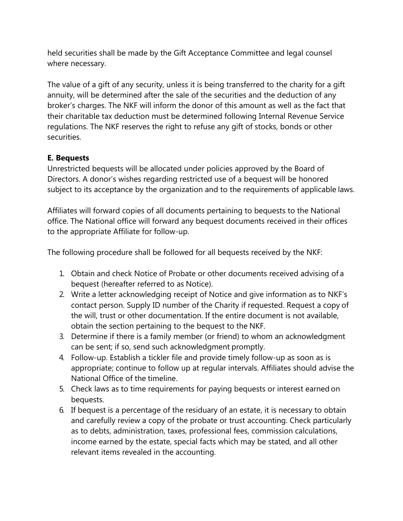held securities shall be made by the Gift Acceptance Committee and legal counsel where necessary.

The value of a gift of any security, unless it is being transferred to the charity for a gift annuity, will be determined after the sale of the securities and the deduction of any broker's charges. The NKF will inform the donor of this amount as well as the fact that their charitable tax deduction must be determined following Internal Revenue Service regulations. The NKF reserves the right to refuse any gift of stocks, bonds or other securities.

#### **E. Bequests**

Unrestricted bequests will be allocated under policies approved by the Board of Directors. A donor's wishes regarding restricted use of a bequest will be honored subject to its acceptance by the organization and to the requirements of applicable laws.

Affiliates will forward copies of all documents pertaining to bequests to the National office. The National office will forward any bequest documents received in their offices to the appropriate Affiliate for follow-up.

The following procedure shall be followed for all bequests received by the NKF:

- 1. Obtain and check Notice of Probate or other documents received advising of a bequest (hereafter referred to as Notice).
- 2. Write a letter acknowledging receipt of Notice and give information as to NKF's contact person. Supply ID number of the Charity if requested. Request a copy of the will, trust or other documentation. If the entire document is not available, obtain the section pertaining to the bequest to the NKF.
- 3. Determine if there is a family member (or friend) to whom an acknowledgment can be sent; if so, send such acknowledgment promptly.
- 4. Follow-up. Establish a tickler file and provide timely follow-up as soon as is appropriate; continue to follow up at regular intervals. Affiliates should advise the National Office of the timeline.
- 5. Check laws as to time requirements for paying bequests or interest earned on bequests.
- 6. If bequest is a percentage of the residuary of an estate, it is necessary to obtain and carefully review a copy of the probate or trust accounting. Check particularly as to debts, administration, taxes, professional fees, commission calculations, income earned by the estate, special facts which may be stated, and all other relevant items revealed in the accounting.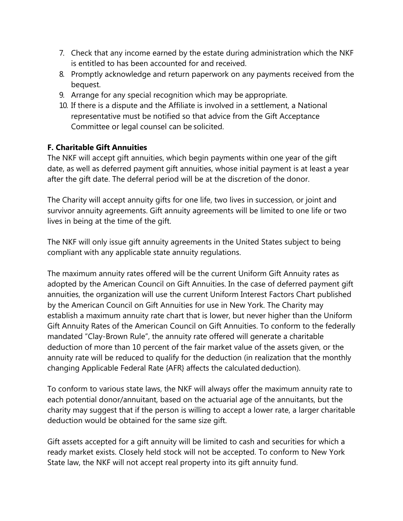- 7. Check that any income earned by the estate during administration which the NKF is entitled to has been accounted for and received.
- 8. Promptly acknowledge and return paperwork on any payments received from the bequest.
- 9. Arrange for any special recognition which may be appropriate.
- 10. If there is a dispute and the Affiliate is involved in a settlement, a National representative must be notified so that advice from the Gift Acceptance Committee or legal counsel can be solicited.

## **F. Charitable Gift Annuities**

The NKF will accept gift annuities, which begin payments within one year of the gift date, as well as deferred payment gift annuities, whose initial payment is at least a year after the gift date. The deferral period will be at the discretion of the donor.

The Charity will accept annuity gifts for one life, two lives in succession, or joint and survivor annuity agreements. Gift annuity agreements will be limited to one life or two lives in being at the time of the gift.

The NKF will only issue gift annuity agreements in the United States subject to being compliant with any applicable state annuity regulations.

The maximum annuity rates offered will be the current Uniform Gift Annuity rates as adopted by the American Council on Gift Annuities. In the case of deferred payment gift annuities, the organization will use the current Uniform Interest Factors Chart published by the American Council on Gift Annuities for use in New York. The Charity may establish a maximum annuity rate chart that is lower, but never higher than the Uniform Gift Annuity Rates of the American Council on Gift Annuities. To conform to the federally mandated "Clay-Brown Rule", the annuity rate offered will generate a charitable deduction of more than 10 percent of the fair market value of the assets given, or the annuity rate will be reduced to qualify for the deduction (in realization that the monthly changing Applicable Federal Rate {AFR} affects the calculated deduction).

To conform to various state laws, the NKF will always offer the maximum annuity rate to each potential donor/annuitant, based on the actuarial age of the annuitants, but the charity may suggest that if the person is willing to accept a lower rate, a larger charitable deduction would be obtained for the same size gift.

Gift assets accepted for a gift annuity will be limited to cash and securities for which a ready market exists. Closely held stock will not be accepted. To conform to New York State law, the NKF will not accept real property into its gift annuity fund.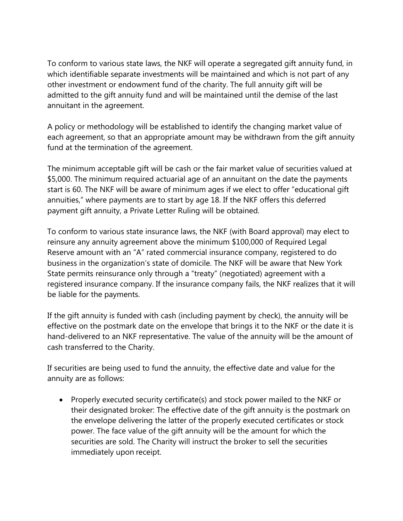To conform to various state laws, the NKF will operate a segregated gift annuity fund, in which identifiable separate investments will be maintained and which is not part of any other investment or endowment fund of the charity. The full annuity gift will be admitted to the gift annuity fund and will be maintained until the demise of the last annuitant in the agreement.

A policy or methodology will be established to identify the changing market value of each agreement, so that an appropriate amount may be withdrawn from the gift annuity fund at the termination of the agreement.

The minimum acceptable gift will be cash or the fair market value of securities valued at \$5,000. The minimum required actuarial age of an annuitant on the date the payments start is 60. The NKF will be aware of minimum ages if we elect to offer "educational gift annuities," where payments are to start by age 18. If the NKF offers this deferred payment gift annuity, a Private Letter Ruling will be obtained.

To conform to various state insurance laws, the NKF (with Board approval) may elect to reinsure any annuity agreement above the minimum \$100,000 of Required Legal Reserve amount with an "A" rated commercial insurance company, registered to do business in the organization's state of domicile. The NKF will be aware that New York State permits reinsurance only through a "treaty" (negotiated) agreement with a registered insurance company. If the insurance company fails, the NKF realizes that it will be liable for the payments.

If the gift annuity is funded with cash (including payment by check), the annuity will be effective on the postmark date on the envelope that brings it to the NKF or the date it is hand-delivered to an NKF representative. The value of the annuity will be the amount of cash transferred to the Charity.

If securities are being used to fund the annuity, the effective date and value for the annuity are as follows:

 Properly executed security certificate(s) and stock power mailed to the NKF or their designated broker: The effective date of the gift annuity is the postmark on the envelope delivering the latter of the properly executed certificates or stock power. The face value of the gift annuity will be the amount for which the securities are sold. The Charity will instruct the broker to sell the securities immediately upon receipt.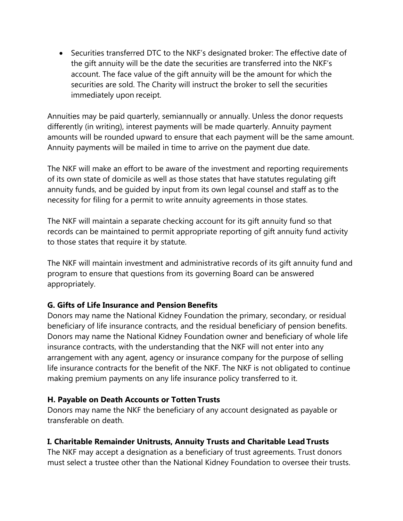Securities transferred DTC to the NKF's designated broker: The effective date of the gift annuity will be the date the securities are transferred into the NKF's account. The face value of the gift annuity will be the amount for which the securities are sold. The Charity will instruct the broker to sell the securities immediately upon receipt.

Annuities may be paid quarterly, semiannually or annually. Unless the donor requests differently (in writing), interest payments will be made quarterly. Annuity payment amounts will be rounded upward to ensure that each payment will be the same amount. Annuity payments will be mailed in time to arrive on the payment due date.

The NKF will make an effort to be aware of the investment and reporting requirements of its own state of domicile as well as those states that have statutes regulating gift annuity funds, and be guided by input from its own legal counsel and staff as to the necessity for filing for a permit to write annuity agreements in those states.

The NKF will maintain a separate checking account for its gift annuity fund so that records can be maintained to permit appropriate reporting of gift annuity fund activity to those states that require it by statute.

The NKF will maintain investment and administrative records of its gift annuity fund and program to ensure that questions from its governing Board can be answered appropriately.

## **G. Gifts of Life Insurance and Pension Benefits**

Donors may name the National Kidney Foundation the primary, secondary, or residual beneficiary of life insurance contracts, and the residual beneficiary of pension benefits. Donors may name the National Kidney Foundation owner and beneficiary of whole life insurance contracts, with the understanding that the NKF will not enter into any arrangement with any agent, agency or insurance company for the purpose of selling life insurance contracts for the benefit of the NKF. The NKF is not obligated to continue making premium payments on any life insurance policy transferred to it.

## **H. Payable on Death Accounts or Totten Trusts**

Donors may name the NKF the beneficiary of any account designated as payable or transferable on death.

## **I. Charitable Remainder Unitrusts, Annuity Trusts and Charitable Lead Trusts**

The NKF may accept a designation as a beneficiary of trust agreements. Trust donors must select a trustee other than the National Kidney Foundation to oversee their trusts.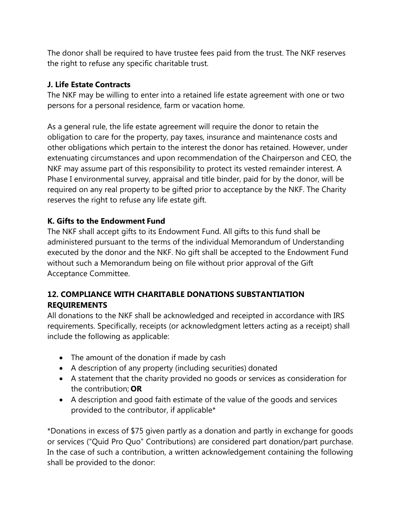The donor shall be required to have trustee fees paid from the trust. The NKF reserves the right to refuse any specific charitable trust.

#### **J. Life Estate Contracts**

The NKF may be willing to enter into a retained life estate agreement with one or two persons for a personal residence, farm or vacation home.

As a general rule, the life estate agreement will require the donor to retain the obligation to care for the property, pay taxes, insurance and maintenance costs and other obligations which pertain to the interest the donor has retained. However, under extenuating circumstances and upon recommendation of the Chairperson and CEO, the NKF may assume part of this responsibility to protect its vested remainder interest. A Phase I environmental survey, appraisal and title binder, paid for by the donor, will be required on any real property to be gifted prior to acceptance by the NKF. The Charity reserves the right to refuse any life estate gift.

## **K. Gifts to the Endowment Fund**

The NKF shall accept gifts to its Endowment Fund. All gifts to this fund shall be administered pursuant to the terms of the individual Memorandum of Understanding executed by the donor and the NKF. No gift shall be accepted to the Endowment Fund without such a Memorandum being on file without prior approval of the Gift Acceptance Committee.

## **12. COMPLIANCE WITH CHARITABLE DONATIONS SUBSTANTIATION REQUIREMENTS**

All donations to the NKF shall be acknowledged and receipted in accordance with IRS requirements. Specifically, receipts (or acknowledgment letters acting as a receipt) shall include the following as applicable:

- The amount of the donation if made by cash
- A description of any property (including securities) donated
- A statement that the charity provided no goods or services as consideration for the contribution; **OR**
- A description and good faith estimate of the value of the goods and services provided to the contributor, if applicable\*

\*Donations in excess of \$75 given partly as a donation and partly in exchange for goods or services ("Quid Pro Quo" Contributions) are considered part donation/part purchase. In the case of such a contribution, a written acknowledgement containing the following shall be provided to the donor: